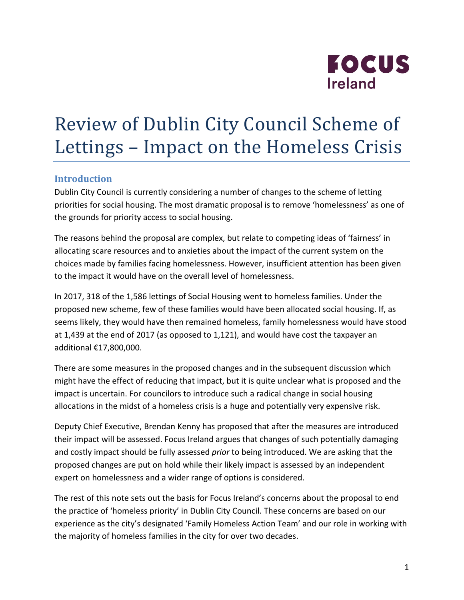

# Review of Dublin City Council Scheme of Lettings – Impact on the Homeless Crisis

### **Introduction**

Dublin City Council is currently considering a number of changes to the scheme of letting priorities for social housing. The most dramatic proposal is to remove 'homelessness' as one of the grounds for priority access to social housing.

The reasons behind the proposal are complex, but relate to competing ideas of 'fairness' in allocating scare resources and to anxieties about the impact of the current system on the choices made by families facing homelessness. However, insufficient attention has been given to the impact it would have on the overall level of homelessness.

In 2017, 318 of the 1,586 lettings of Social Housing went to homeless families. Under the proposed new scheme, few of these families would have been allocated social housing. If, as seems likely, they would have then remained homeless, family homelessness would have stood at  $1,439$  at the end of 2017 (as opposed to  $1,121$ ), and would have cost the taxpayer an additional €17,800,000.

There are some measures in the proposed changes and in the subsequent discussion which might have the effect of reducing that impact, but it is quite unclear what is proposed and the impact is uncertain. For councilors to introduce such a radical change in social housing allocations in the midst of a homeless crisis is a huge and potentially very expensive risk.

Deputy Chief Executive, Brendan Kenny has proposed that after the measures are introduced their impact will be assessed. Focus Ireland argues that changes of such potentially damaging and costly impact should be fully assessed *prior* to being introduced. We are asking that the proposed changes are put on hold while their likely impact is assessed by an independent expert on homelessness and a wider range of options is considered.

The rest of this note sets out the basis for Focus Ireland's concerns about the proposal to end the practice of 'homeless priority' in Dublin City Council. These concerns are based on our experience as the city's designated 'Family Homeless Action Team' and our role in working with the majority of homeless families in the city for over two decades.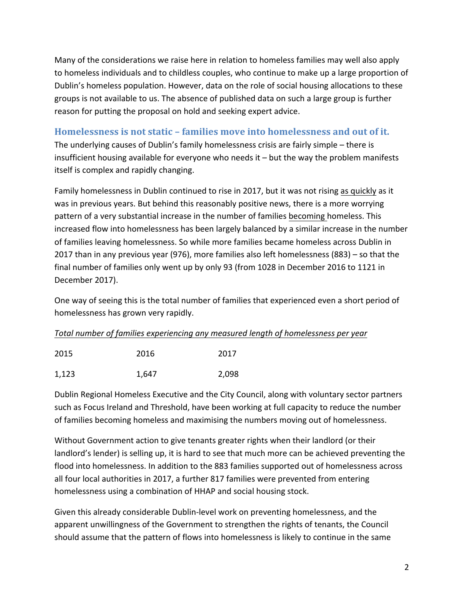Many of the considerations we raise here in relation to homeless families may well also apply to homeless individuals and to childless couples, who continue to make up a large proportion of Dublin's homeless population. However, data on the role of social housing allocations to these groups is not available to us. The absence of published data on such a large group is further reason for putting the proposal on hold and seeking expert advice.

## **Homelessness is not static – families move into homelessness and out of it.**

The underlying causes of Dublin's family homelessness crisis are fairly simple  $-$  there is insufficient housing available for everyone who needs it  $-$  but the way the problem manifests itself is complex and rapidly changing.

Family homelessness in Dublin continued to rise in 2017, but it was not rising as quickly as it was in previous years. But behind this reasonably positive news, there is a more worrying pattern of a very substantial increase in the number of families becoming homeless. This increased flow into homelessness has been largely balanced by a similar increase in the number of families leaving homelessness. So while more families became homeless across Dublin in 2017 than in any previous year (976), more families also left homelessness  $(883)$  – so that the final number of families only went up by only 93 (from 1028 in December 2016 to 1121 in December 2017).

One way of seeing this is the total number of families that experienced even a short period of homelessness has grown very rapidly.

#### Total number of families experiencing any measured length of homelessness per year

| 2015  | 2016  | 2017  |
|-------|-------|-------|
| 1,123 | 1,647 | 2,098 |

Dublin Regional Homeless Executive and the City Council, along with voluntary sector partners such as Focus Ireland and Threshold, have been working at full capacity to reduce the number of families becoming homeless and maximising the numbers moving out of homelessness.

Without Government action to give tenants greater rights when their landlord (or their landlord's lender) is selling up, it is hard to see that much more can be achieved preventing the flood into homelessness. In addition to the 883 families supported out of homelessness across all four local authorities in 2017, a further 817 families were prevented from entering homelessness using a combination of HHAP and social housing stock.

Given this already considerable Dublin-level work on preventing homelessness, and the apparent unwillingness of the Government to strengthen the rights of tenants, the Council should assume that the pattern of flows into homelessness is likely to continue in the same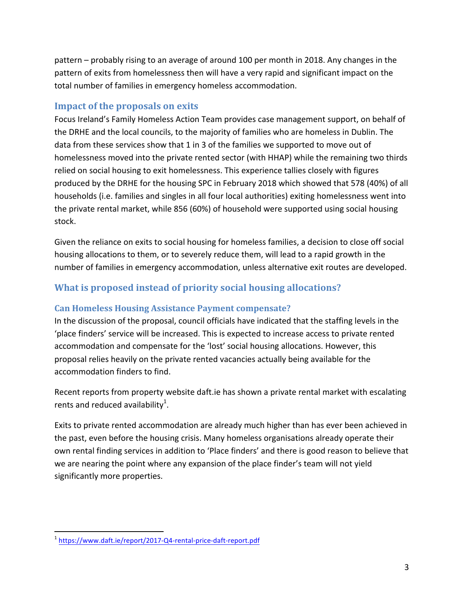pattern – probably rising to an average of around 100 per month in 2018. Any changes in the pattern of exits from homelessness then will have a very rapid and significant impact on the total number of families in emergency homeless accommodation.

# **Impact of the proposals on exits**

Focus Ireland's Family Homeless Action Team provides case management support, on behalf of the DRHE and the local councils, to the majority of families who are homeless in Dublin. The data from these services show that 1 in 3 of the families we supported to move out of homelessness moved into the private rented sector (with HHAP) while the remaining two thirds relied on social housing to exit homelessness. This experience tallies closely with figures produced by the DRHE for the housing SPC in February 2018 which showed that 578 (40%) of all households (i.e. families and singles in all four local authorities) exiting homelessness went into the private rental market, while 856 (60%) of household were supported using social housing stock. 

Given the reliance on exits to social housing for homeless families, a decision to close off social housing allocations to them, or to severely reduce them, will lead to a rapid growth in the number of families in emergency accommodation, unless alternative exit routes are developed.

# **What is proposed instead of priority social housing allocations?**

#### **Can Homeless Housing Assistance Payment compensate?**

In the discussion of the proposal, council officials have indicated that the staffing levels in the 'place finders' service will be increased. This is expected to increase access to private rented accommodation and compensate for the 'lost' social housing allocations. However, this proposal relies heavily on the private rented vacancies actually being available for the accommodation finders to find.

Recent reports from property website daft.ie has shown a private rental market with escalating rents and reduced availability<sup>1</sup>.

Exits to private rented accommodation are already much higher than has ever been achieved in the past, even before the housing crisis. Many homeless organisations already operate their own rental finding services in addition to 'Place finders' and there is good reason to believe that we are nearing the point where any expansion of the place finder's team will not yield significantly more properties.

<sup>&</sup>lt;sup>1</sup> https://www.daft.ie/report/2017-Q4-rental-price-daft-report.pdf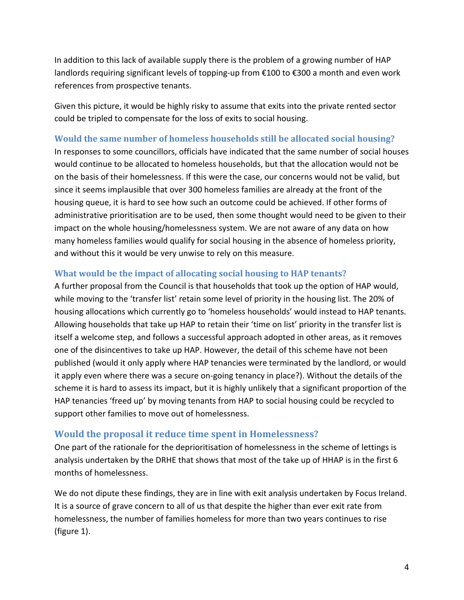In addition to this lack of available supply there is the problem of a growing number of HAP landlords requiring significant levels of topping-up from €100 to €300 a month and even work references from prospective tenants.

Given this picture, it would be highly risky to assume that exits into the private rented sector could be tripled to compensate for the loss of exits to social housing.

#### **Would the same number of homeless households still be allocated social housing?**

In responses to some councillors, officials have indicated that the same number of social houses would continue to be allocated to homeless households, but that the allocation would not be on the basis of their homelessness. If this were the case, our concerns would not be valid, but since it seems implausible that over 300 homeless families are already at the front of the housing queue, it is hard to see how such an outcome could be achieved. If other forms of administrative prioritisation are to be used, then some thought would need to be given to their impact on the whole housing/homelessness system. We are not aware of any data on how many homeless families would qualify for social housing in the absence of homeless priority, and without this it would be very unwise to rely on this measure.

#### **What would be the impact of allocating social housing to HAP tenants?**

A further proposal from the Council is that households that took up the option of HAP would, while moving to the 'transfer list' retain some level of priority in the housing list. The 20% of housing allocations which currently go to 'homeless households' would instead to HAP tenants. Allowing households that take up HAP to retain their 'time on list' priority in the transfer list is itself a welcome step, and follows a successful approach adopted in other areas, as it removes one of the disincentives to take up HAP. However, the detail of this scheme have not been published (would it only apply where HAP tenancies were terminated by the landlord, or would it apply even where there was a secure on-going tenancy in place?). Without the details of the scheme it is hard to assess its impact, but it is highly unlikely that a significant proportion of the HAP tenancies 'freed up' by moving tenants from HAP to social housing could be recycled to support other families to move out of homelessness.

#### **Would the proposal it reduce time spent in Homelessness?**

One part of the rationale for the deprioritisation of homelessness in the scheme of lettings is analysis undertaken by the DRHE that shows that most of the take up of HHAP is in the first 6 months of homelessness.

We do not dipute these findings, they are in line with exit analysis undertaken by Focus Ireland. It is a source of grave concern to all of us that despite the higher than ever exit rate from homelessness, the number of families homeless for more than two years continues to rise (figure 1).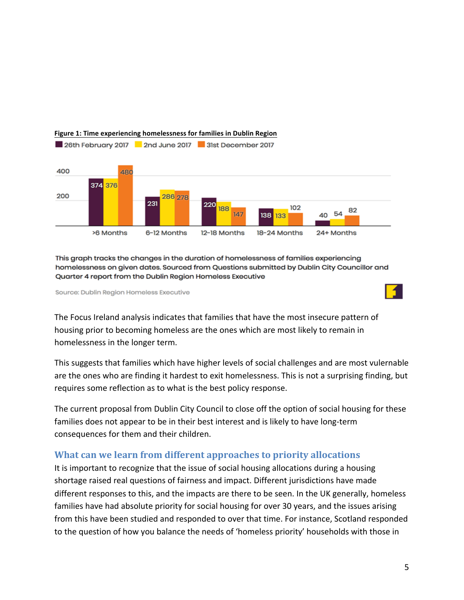

#### **Figure 1: Time experiencing homelessness for families in Dublin Region**

This graph tracks the changes in the duration of homelessness of families experiencing homelessness on given dates. Sourced from Questions submitted by Dublin City Councillor and Quarter 4 report from the Dublin Region Homeless Executive

Source: Dublin Region Homeless Executive

The Focus Ireland analysis indicates that families that have the most insecure pattern of housing prior to becoming homeless are the ones which are most likely to remain in homelessness in the longer term.

This suggests that families which have higher levels of social challenges and are most vulernable are the ones who are finding it hardest to exit homelessness. This is not a surprising finding, but requires some reflection as to what is the best policy response.

The current proposal from Dublin City Council to close off the option of social housing for these families does not appear to be in their best interest and is likely to have long-term consequences for them and their children.

#### **What can we learn from different approaches to priority allocations**

It is important to recognize that the issue of social housing allocations during a housing shortage raised real questions of fairness and impact. Different jurisdictions have made different responses to this, and the impacts are there to be seen. In the UK generally, homeless families have had absolute priority for social housing for over 30 years, and the issues arising from this have been studied and responded to over that time. For instance, Scotland responded to the question of how you balance the needs of 'homeless priority' households with those in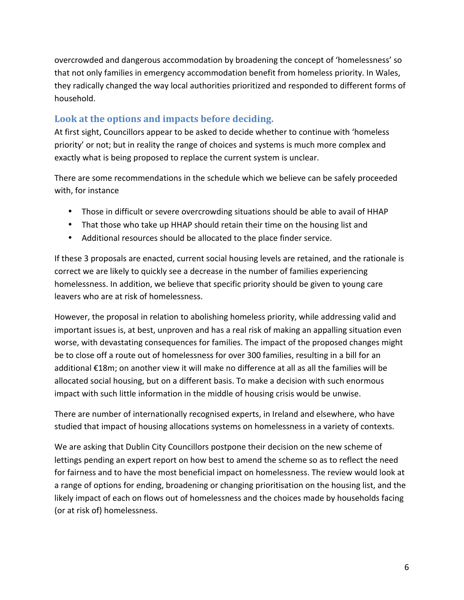overcrowded and dangerous accommodation by broadening the concept of 'homelessness' so that not only families in emergency accommodation benefit from homeless priority. In Wales, they radically changed the way local authorities prioritized and responded to different forms of household. 

# Look at the options and impacts before deciding.

At first sight, Councillors appear to be asked to decide whether to continue with 'homeless priority' or not; but in reality the range of choices and systems is much more complex and exactly what is being proposed to replace the current system is unclear.

There are some recommendations in the schedule which we believe can be safely proceeded with, for instance

- Those in difficult or severe overcrowding situations should be able to avail of HHAP
- That those who take up HHAP should retain their time on the housing list and
- Additional resources should be allocated to the place finder service.

If these 3 proposals are enacted, current social housing levels are retained, and the rationale is correct we are likely to quickly see a decrease in the number of families experiencing homelessness. In addition, we believe that specific priority should be given to young care leavers who are at risk of homelessness.

However, the proposal in relation to abolishing homeless priority, while addressing valid and important issues is, at best, unproven and has a real risk of making an appalling situation even worse, with devastating consequences for families. The impact of the proposed changes might be to close off a route out of homelessness for over 300 families, resulting in a bill for an additional €18m; on another view it will make no difference at all as all the families will be allocated social housing, but on a different basis. To make a decision with such enormous impact with such little information in the middle of housing crisis would be unwise.

There are number of internationally recognised experts, in Ireland and elsewhere, who have studied that impact of housing allocations systems on homelessness in a variety of contexts.

We are asking that Dublin City Councillors postpone their decision on the new scheme of lettings pending an expert report on how best to amend the scheme so as to reflect the need for fairness and to have the most beneficial impact on homelessness. The review would look at a range of options for ending, broadening or changing prioritisation on the housing list, and the likely impact of each on flows out of homelessness and the choices made by households facing (or at risk of) homelessness.